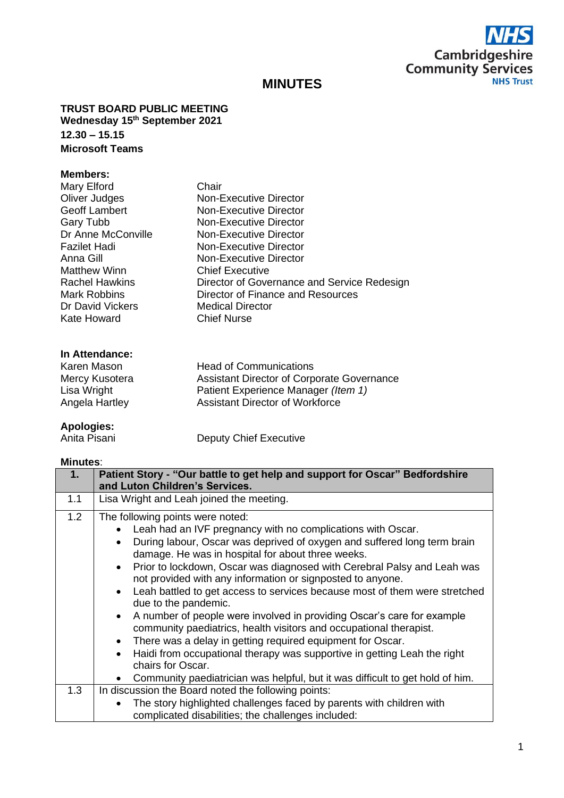

# **MINUTES**

**TRUST BOARD PUBLIC MEETING Wednesday 15th September 2021 12.30 – 15.15 Microsoft Teams**

## **Members:**

| Mary Elford           | Chair                                       |
|-----------------------|---------------------------------------------|
| Oliver Judges         | <b>Non-Executive Director</b>               |
| Geoff Lambert         | Non-Executive Director                      |
| <b>Gary Tubb</b>      | Non-Executive Director                      |
| Dr Anne McConville    | Non-Executive Director                      |
| Fazilet Hadi          | Non-Executive Director                      |
| Anna Gill             | <b>Non-Executive Director</b>               |
| <b>Matthew Winn</b>   | <b>Chief Executive</b>                      |
| <b>Rachel Hawkins</b> | Director of Governance and Service Redesign |
| <b>Mark Robbins</b>   | Director of Finance and Resources           |
| Dr David Vickers      | <b>Medical Director</b>                     |
| Kate Howard           | <b>Chief Nurse</b>                          |
|                       |                                             |

#### **In Attendance:**

| Karen Mason    | <b>Head of Communications</b>                     |
|----------------|---------------------------------------------------|
| Mercy Kusotera | <b>Assistant Director of Corporate Governance</b> |
| Lisa Wright    | Patient Experience Manager (Item 1)               |
| Angela Hartley | Assistant Director of Workforce                   |

# **Apologies:**

**Deputy Chief Executive** 

## **Minutes**:

| 1.  | Patient Story - "Our battle to get help and support for Oscar" Bedfordshire<br>and Luton Children's Services.                                                                                                                                                                                                                                                                                                                                                                                                                                                                                                                                                                                                                                                                                    |
|-----|--------------------------------------------------------------------------------------------------------------------------------------------------------------------------------------------------------------------------------------------------------------------------------------------------------------------------------------------------------------------------------------------------------------------------------------------------------------------------------------------------------------------------------------------------------------------------------------------------------------------------------------------------------------------------------------------------------------------------------------------------------------------------------------------------|
| 1.1 | Lisa Wright and Leah joined the meeting.                                                                                                                                                                                                                                                                                                                                                                                                                                                                                                                                                                                                                                                                                                                                                         |
| 1.2 | The following points were noted:<br>Leah had an IVF pregnancy with no complications with Oscar.<br>During labour, Oscar was deprived of oxygen and suffered long term brain<br>damage. He was in hospital for about three weeks.<br>Prior to lockdown, Oscar was diagnosed with Cerebral Palsy and Leah was<br>not provided with any information or signposted to anyone.<br>• Leah battled to get access to services because most of them were stretched<br>due to the pandemic.<br>A number of people were involved in providing Oscar's care for example<br>community paediatrics, health visitors and occupational therapist.<br>There was a delay in getting required equipment for Oscar.<br>Haidi from occupational therapy was supportive in getting Leah the right<br>chairs for Oscar. |
| 1.3 | Community paediatrician was helpful, but it was difficult to get hold of him.<br>In discussion the Board noted the following points:                                                                                                                                                                                                                                                                                                                                                                                                                                                                                                                                                                                                                                                             |
|     | The story highlighted challenges faced by parents with children with<br>complicated disabilities; the challenges included:                                                                                                                                                                                                                                                                                                                                                                                                                                                                                                                                                                                                                                                                       |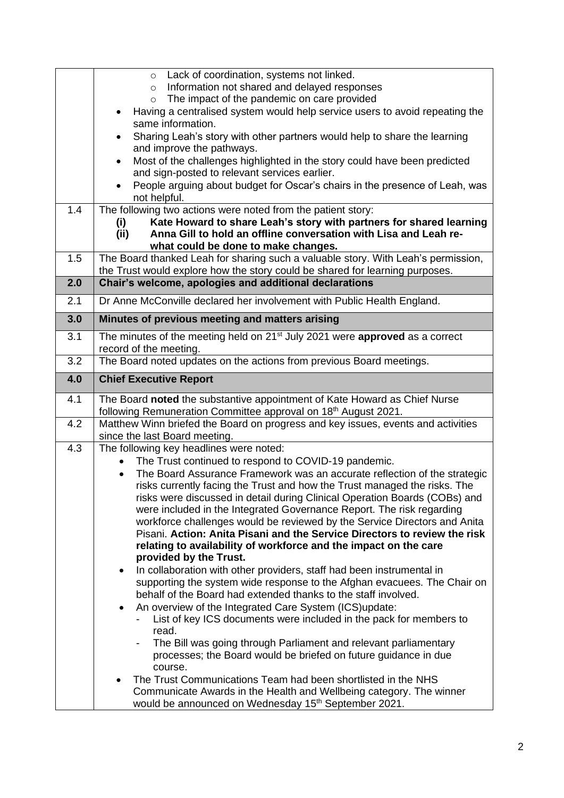|     | Lack of coordination, systems not linked.<br>$\circ$                                                                                                    |
|-----|---------------------------------------------------------------------------------------------------------------------------------------------------------|
|     | Information not shared and delayed responses<br>$\circ$<br>The impact of the pandemic on care provided<br>$\circ$                                       |
|     | Having a centralised system would help service users to avoid repeating the                                                                             |
|     | same information.                                                                                                                                       |
|     | Sharing Leah's story with other partners would help to share the learning<br>and improve the pathways.                                                  |
|     | Most of the challenges highlighted in the story could have been predicted                                                                               |
|     | and sign-posted to relevant services earlier.                                                                                                           |
|     | People arguing about budget for Oscar's chairs in the presence of Leah, was<br>not helpful.                                                             |
| 1.4 | The following two actions were noted from the patient story:                                                                                            |
|     | Kate Howard to share Leah's story with partners for shared learning<br>(i)<br>Anna Gill to hold an offline conversation with Lisa and Leah re-          |
|     | (ii)<br>what could be done to make changes.                                                                                                             |
| 1.5 | The Board thanked Leah for sharing such a valuable story. With Leah's permission,                                                                       |
|     | the Trust would explore how the story could be shared for learning purposes.                                                                            |
| 2.0 | Chair's welcome, apologies and additional declarations                                                                                                  |
| 2.1 | Dr Anne McConville declared her involvement with Public Health England.                                                                                 |
| 3.0 | Minutes of previous meeting and matters arising                                                                                                         |
| 3.1 | The minutes of the meeting held on 21 <sup>st</sup> July 2021 were <b>approved</b> as a correct                                                         |
| 3.2 | record of the meeting.<br>The Board noted updates on the actions from previous Board meetings.                                                          |
|     |                                                                                                                                                         |
| 4.0 | <b>Chief Executive Report</b>                                                                                                                           |
| 4.1 | The Board noted the substantive appointment of Kate Howard as Chief Nurse<br>following Remuneration Committee approval on 18 <sup>th</sup> August 2021. |
| 4.2 | Matthew Winn briefed the Board on progress and key issues, events and activities<br>since the last Board meeting.                                       |
| 4.3 | The following key headlines were noted:                                                                                                                 |
|     | The Trust continued to respond to COVID-19 pandemic.                                                                                                    |
|     | The Board Assurance Framework was an accurate reflection of the strategic                                                                               |
|     | risks currently facing the Trust and how the Trust managed the risks. The<br>risks were discussed in detail during Clinical Operation Boards (COBs) and |
|     | were included in the Integrated Governance Report. The risk regarding                                                                                   |
|     | workforce challenges would be reviewed by the Service Directors and Anita                                                                               |
|     | Pisani. Action: Anita Pisani and the Service Directors to review the risk                                                                               |
|     | relating to availability of workforce and the impact on the care                                                                                        |
|     | provided by the Trust.<br>In collaboration with other providers, staff had been instrumental in                                                         |
|     | supporting the system wide response to the Afghan evacuees. The Chair on                                                                                |
|     | behalf of the Board had extended thanks to the staff involved.                                                                                          |
|     | An overview of the Integrated Care System (ICS)update:<br>$\bullet$                                                                                     |
|     | List of key ICS documents were included in the pack for members to<br>read.                                                                             |
|     | The Bill was going through Parliament and relevant parliamentary                                                                                        |
|     | processes; the Board would be briefed on future guidance in due                                                                                         |
|     | course.                                                                                                                                                 |
|     | The Trust Communications Team had been shortlisted in the NHS                                                                                           |
|     | Communicate Awards in the Health and Wellbeing category. The winner<br>would be announced on Wednesday 15 <sup>th</sup> September 2021.                 |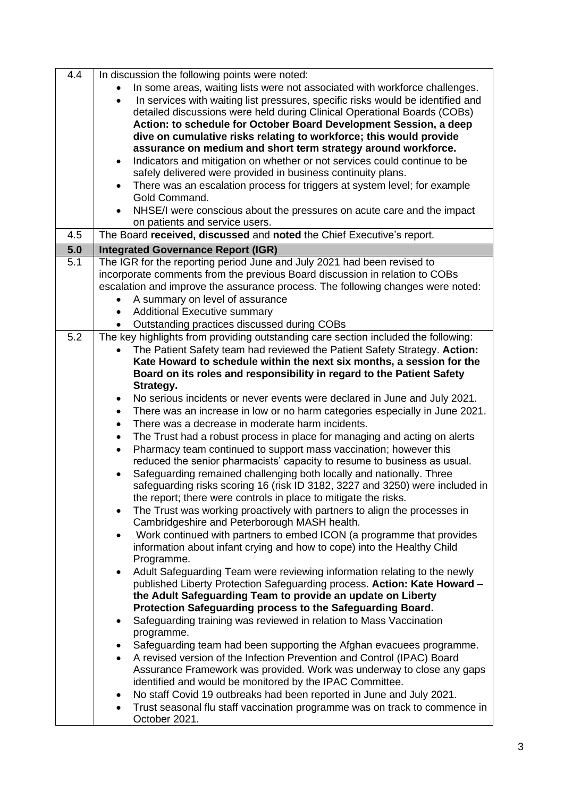| 4.4 | In discussion the following points were noted:                                                                                                       |
|-----|------------------------------------------------------------------------------------------------------------------------------------------------------|
|     | In some areas, waiting lists were not associated with workforce challenges.                                                                          |
|     | In services with waiting list pressures, specific risks would be identified and<br>$\bullet$                                                         |
|     | detailed discussions were held during Clinical Operational Boards (COBs)                                                                             |
|     | Action: to schedule for October Board Development Session, a deep                                                                                    |
|     | dive on cumulative risks relating to workforce; this would provide                                                                                   |
|     | assurance on medium and short term strategy around workforce.                                                                                        |
|     | Indicators and mitigation on whether or not services could continue to be<br>$\bullet$                                                               |
|     | safely delivered were provided in business continuity plans.                                                                                         |
|     | There was an escalation process for triggers at system level; for example<br>$\bullet$<br>Gold Command.                                              |
|     | NHSE/I were conscious about the pressures on acute care and the impact                                                                               |
|     | on patients and service users.                                                                                                                       |
| 4.5 | The Board received, discussed and noted the Chief Executive's report.                                                                                |
| 5.0 | <b>Integrated Governance Report (IGR)</b>                                                                                                            |
| 5.1 | The IGR for the reporting period June and July 2021 had been revised to                                                                              |
|     | incorporate comments from the previous Board discussion in relation to COBs                                                                          |
|     | escalation and improve the assurance process. The following changes were noted:                                                                      |
|     | A summary on level of assurance                                                                                                                      |
|     | <b>Additional Executive summary</b>                                                                                                                  |
|     | Outstanding practices discussed during COBs                                                                                                          |
| 5.2 | The key highlights from providing outstanding care section included the following:                                                                   |
|     | The Patient Safety team had reviewed the Patient Safety Strategy. Action:                                                                            |
|     | Kate Howard to schedule within the next six months, a session for the                                                                                |
|     | Board on its roles and responsibility in regard to the Patient Safety                                                                                |
|     | Strategy.                                                                                                                                            |
|     | No serious incidents or never events were declared in June and July 2021.<br>٠                                                                       |
|     | There was an increase in low or no harm categories especially in June 2021.<br>$\bullet$                                                             |
|     | There was a decrease in moderate harm incidents.<br>$\bullet$                                                                                        |
|     | The Trust had a robust process in place for managing and acting on alerts<br>$\bullet$                                                               |
|     | Pharmacy team continued to support mass vaccination; however this<br>$\bullet$                                                                       |
|     | reduced the senior pharmacists' capacity to resume to business as usual.                                                                             |
|     | Safeguarding remained challenging both locally and nationally. Three<br>safeguarding risks scoring 16 (risk ID 3182, 3227 and 3250) were included in |
|     | the report; there were controls in place to mitigate the risks.                                                                                      |
|     | The Trust was working proactively with partners to align the processes in                                                                            |
|     | Cambridgeshire and Peterborough MASH health.                                                                                                         |
|     | Work continued with partners to embed ICON (a programme that provides<br>$\bullet$                                                                   |
|     | information about infant crying and how to cope) into the Healthy Child                                                                              |
|     | Programme.                                                                                                                                           |
|     | Adult Safeguarding Team were reviewing information relating to the newly<br>$\bullet$                                                                |
|     | published Liberty Protection Safeguarding process. Action: Kate Howard -                                                                             |
|     | the Adult Safeguarding Team to provide an update on Liberty                                                                                          |
|     | Protection Safeguarding process to the Safeguarding Board.                                                                                           |
|     | Safeguarding training was reviewed in relation to Mass Vaccination<br>٠<br>programme.                                                                |
|     | Safeguarding team had been supporting the Afghan evacuees programme.<br>٠                                                                            |
|     | A revised version of the Infection Prevention and Control (IPAC) Board                                                                               |
|     | Assurance Framework was provided. Work was underway to close any gaps                                                                                |
|     | identified and would be monitored by the IPAC Committee.                                                                                             |
|     | No staff Covid 19 outbreaks had been reported in June and July 2021.<br>٠                                                                            |
|     | Trust seasonal flu staff vaccination programme was on track to commence in                                                                           |
|     | October 2021.                                                                                                                                        |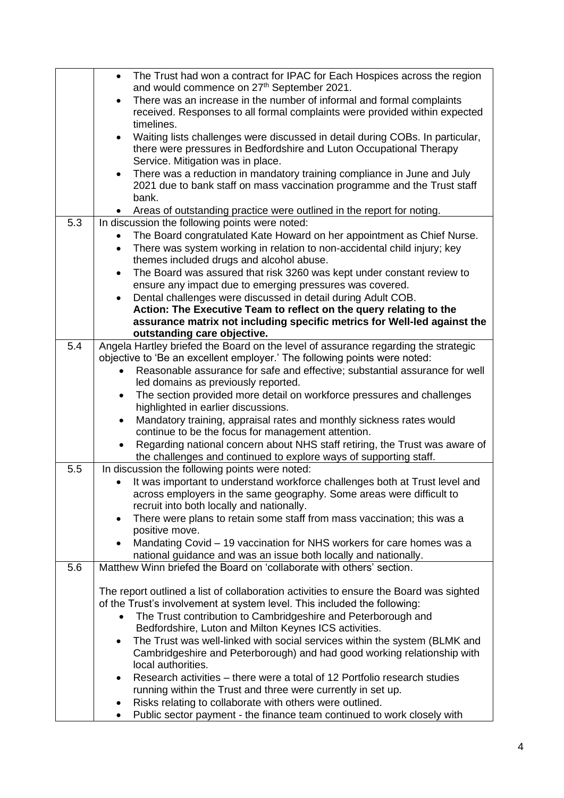|     | The Trust had won a contract for IPAC for Each Hospices across the region                                                                                                                 |
|-----|-------------------------------------------------------------------------------------------------------------------------------------------------------------------------------------------|
|     | and would commence on 27 <sup>th</sup> September 2021.                                                                                                                                    |
|     | There was an increase in the number of informal and formal complaints<br>received. Responses to all formal complaints were provided within expected                                       |
|     | timelines.                                                                                                                                                                                |
|     | Waiting lists challenges were discussed in detail during COBs. In particular,<br>there were pressures in Bedfordshire and Luton Occupational Therapy<br>Service. Mitigation was in place. |
|     | There was a reduction in mandatory training compliance in June and July                                                                                                                   |
|     | 2021 due to bank staff on mass vaccination programme and the Trust staff<br>bank.                                                                                                         |
|     | Areas of outstanding practice were outlined in the report for noting.                                                                                                                     |
| 5.3 | In discussion the following points were noted:                                                                                                                                            |
|     | The Board congratulated Kate Howard on her appointment as Chief Nurse.                                                                                                                    |
|     | There was system working in relation to non-accidental child injury; key                                                                                                                  |
|     | themes included drugs and alcohol abuse.                                                                                                                                                  |
|     | The Board was assured that risk 3260 was kept under constant review to<br>$\bullet$                                                                                                       |
|     | ensure any impact due to emerging pressures was covered.                                                                                                                                  |
|     | Dental challenges were discussed in detail during Adult COB.                                                                                                                              |
|     | Action: The Executive Team to reflect on the query relating to the                                                                                                                        |
|     | assurance matrix not including specific metrics for Well-led against the                                                                                                                  |
|     | outstanding care objective.                                                                                                                                                               |
| 5.4 | Angela Hartley briefed the Board on the level of assurance regarding the strategic                                                                                                        |
|     | objective to 'Be an excellent employer.' The following points were noted:                                                                                                                 |
|     | Reasonable assurance for safe and effective; substantial assurance for well<br>led domains as previously reported.                                                                        |
|     | The section provided more detail on workforce pressures and challenges                                                                                                                    |
|     | $\bullet$<br>highlighted in earlier discussions.                                                                                                                                          |
|     | Mandatory training, appraisal rates and monthly sickness rates would<br>$\bullet$                                                                                                         |
|     | continue to be the focus for management attention.                                                                                                                                        |
|     | Regarding national concern about NHS staff retiring, the Trust was aware of                                                                                                               |
|     | the challenges and continued to explore ways of supporting staff.                                                                                                                         |
| 5.5 | In discussion the following points were noted:                                                                                                                                            |
|     | It was important to understand workforce challenges both at Trust level and                                                                                                               |
|     | across employers in the same geography. Some areas were difficult to                                                                                                                      |
|     | recruit into both locally and nationally.                                                                                                                                                 |
|     | There were plans to retain some staff from mass vaccination; this was a<br>$\bullet$                                                                                                      |
|     | positive move.                                                                                                                                                                            |
|     | Mandating Covid – 19 vaccination for NHS workers for care homes was a                                                                                                                     |
| 5.6 | national guidance and was an issue both locally and nationally.<br>Matthew Winn briefed the Board on 'collaborate with others' section.                                                   |
|     |                                                                                                                                                                                           |
|     | The report outlined a list of collaboration activities to ensure the Board was sighted                                                                                                    |
|     | of the Trust's involvement at system level. This included the following:                                                                                                                  |
|     | The Trust contribution to Cambridgeshire and Peterborough and<br>$\bullet$                                                                                                                |
|     | Bedfordshire, Luton and Milton Keynes ICS activities.                                                                                                                                     |
|     | The Trust was well-linked with social services within the system (BLMK and<br>$\bullet$                                                                                                   |
|     | Cambridgeshire and Peterborough) and had good working relationship with                                                                                                                   |
|     | local authorities.                                                                                                                                                                        |
|     | Research activities – there were a total of 12 Portfolio research studies<br>$\bullet$                                                                                                    |
|     | running within the Trust and three were currently in set up.                                                                                                                              |
|     | Risks relating to collaborate with others were outlined.<br>٠                                                                                                                             |
|     | Public sector payment - the finance team continued to work closely with<br>$\bullet$                                                                                                      |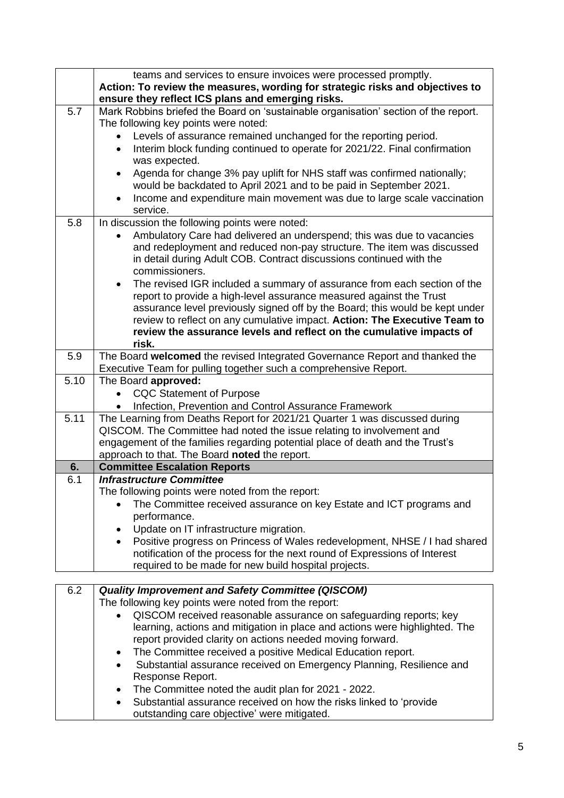|      | teams and services to ensure invoices were processed promptly.<br>Action: To review the measures, wording for strategic risks and objectives to<br>ensure they reflect ICS plans and emerging risks. |
|------|------------------------------------------------------------------------------------------------------------------------------------------------------------------------------------------------------|
| 5.7  | Mark Robbins briefed the Board on 'sustainable organisation' section of the report.                                                                                                                  |
|      | The following key points were noted:                                                                                                                                                                 |
|      | Levels of assurance remained unchanged for the reporting period.<br>$\bullet$                                                                                                                        |
|      | Interim block funding continued to operate for 2021/22. Final confirmation<br>$\bullet$                                                                                                              |
|      | was expected.                                                                                                                                                                                        |
|      | Agenda for change 3% pay uplift for NHS staff was confirmed nationally;                                                                                                                              |
|      | would be backdated to April 2021 and to be paid in September 2021.                                                                                                                                   |
|      | Income and expenditure main movement was due to large scale vaccination<br>$\bullet$                                                                                                                 |
|      | service.                                                                                                                                                                                             |
| 5.8  | In discussion the following points were noted:                                                                                                                                                       |
|      | Ambulatory Care had delivered an underspend; this was due to vacancies                                                                                                                               |
|      | and redeployment and reduced non-pay structure. The item was discussed                                                                                                                               |
|      | in detail during Adult COB. Contract discussions continued with the                                                                                                                                  |
|      | commissioners.                                                                                                                                                                                       |
|      | The revised IGR included a summary of assurance from each section of the                                                                                                                             |
|      | report to provide a high-level assurance measured against the Trust                                                                                                                                  |
|      | assurance level previously signed off by the Board; this would be kept under                                                                                                                         |
|      | review to reflect on any cumulative impact. Action: The Executive Team to                                                                                                                            |
|      | review the assurance levels and reflect on the cumulative impacts of<br>risk.                                                                                                                        |
| 5.9  | The Board welcomed the revised Integrated Governance Report and thanked the                                                                                                                          |
|      | Executive Team for pulling together such a comprehensive Report.                                                                                                                                     |
| 5.10 | The Board approved:                                                                                                                                                                                  |
|      | <b>CQC Statement of Purpose</b>                                                                                                                                                                      |
|      | Infection, Prevention and Control Assurance Framework                                                                                                                                                |
| 5.11 | The Learning from Deaths Report for 2021/21 Quarter 1 was discussed during                                                                                                                           |
|      | QISCOM. The Committee had noted the issue relating to involvement and                                                                                                                                |
|      | engagement of the families regarding potential place of death and the Trust's                                                                                                                        |
|      | approach to that. The Board noted the report.                                                                                                                                                        |
| 6.   | <b>Committee Escalation Reports</b>                                                                                                                                                                  |
| 6.1  | <b>Infrastructure Committee</b>                                                                                                                                                                      |
|      | The following points were noted from the report:                                                                                                                                                     |
|      | The Committee received assurance on key Estate and ICT programs and                                                                                                                                  |
|      | performance.                                                                                                                                                                                         |
|      | Update on IT infrastructure migration.<br>$\bullet$                                                                                                                                                  |
|      | Positive progress on Princess of Wales redevelopment, NHSE / I had shared<br>$\bullet$                                                                                                               |
|      | notification of the process for the next round of Expressions of Interest                                                                                                                            |
|      | required to be made for new build hospital projects.                                                                                                                                                 |
| 6.2  | <b>Quality Improvement and Safety Committee (QISCOM)</b>                                                                                                                                             |
|      | The following key points were noted from the report:                                                                                                                                                 |
|      | QISCOM received reasonable assurance on safeguarding reports; key                                                                                                                                    |
|      | learning, actions and mitigation in place and actions were highlighted. The                                                                                                                          |
|      | report provided clarity on actions needed moving forward.                                                                                                                                            |

- The Committee received a positive Medical Education report.
- Substantial assurance received on Emergency Planning, Resilience and Response Report.
- The Committee noted the audit plan for 2021 2022.
- Substantial assurance received on how the risks linked to 'provide outstanding care objective' were mitigated.